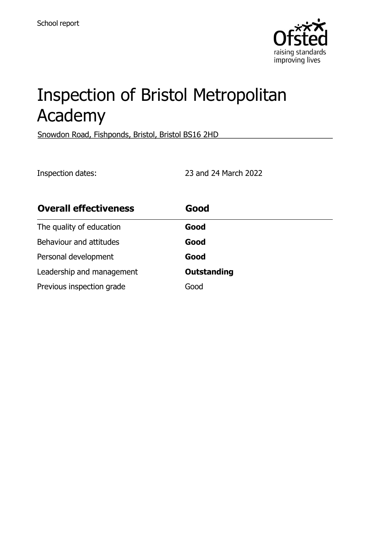

# Inspection of Bristol Metropolitan Academy

Snowdon Road, Fishponds, Bristol, Bristol BS16 2HD

Inspection dates: 23 and 24 March 2022

| <b>Overall effectiveness</b> | Good               |
|------------------------------|--------------------|
| The quality of education     | Good               |
| Behaviour and attitudes      | Good               |
| Personal development         | Good               |
| Leadership and management    | <b>Outstanding</b> |
| Previous inspection grade    | Good               |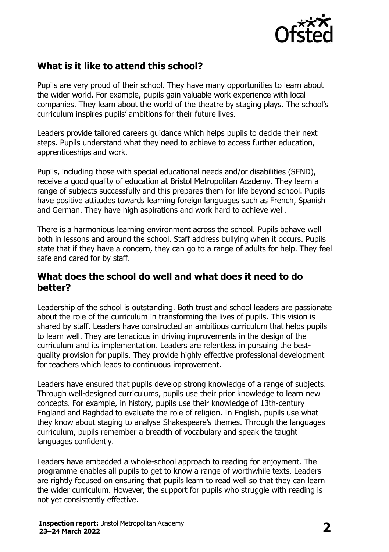

## **What is it like to attend this school?**

Pupils are very proud of their school. They have many opportunities to learn about the wider world. For example, pupils gain valuable work experience with local companies. They learn about the world of the theatre by staging plays. The school's curriculum inspires pupils' ambitions for their future lives.

Leaders provide tailored careers guidance which helps pupils to decide their next steps. Pupils understand what they need to achieve to access further education, apprenticeships and work.

Pupils, including those with special educational needs and/or disabilities (SEND), receive a good quality of education at Bristol Metropolitan Academy. They learn a range of subjects successfully and this prepares them for life beyond school. Pupils have positive attitudes towards learning foreign languages such as French, Spanish and German. They have high aspirations and work hard to achieve well.

There is a harmonious learning environment across the school. Pupils behave well both in lessons and around the school. Staff address bullying when it occurs. Pupils state that if they have a concern, they can go to a range of adults for help. They feel safe and cared for by staff.

### **What does the school do well and what does it need to do better?**

Leadership of the school is outstanding. Both trust and school leaders are passionate about the role of the curriculum in transforming the lives of pupils. This vision is shared by staff. Leaders have constructed an ambitious curriculum that helps pupils to learn well. They are tenacious in driving improvements in the design of the curriculum and its implementation. Leaders are relentless in pursuing the bestquality provision for pupils. They provide highly effective professional development for teachers which leads to continuous improvement.

Leaders have ensured that pupils develop strong knowledge of a range of subjects. Through well-designed curriculums, pupils use their prior knowledge to learn new concepts. For example, in history, pupils use their knowledge of 13th-century England and Baghdad to evaluate the role of religion. In English, pupils use what they know about staging to analyse Shakespeare's themes. Through the languages curriculum, pupils remember a breadth of vocabulary and speak the taught languages confidently.

Leaders have embedded a whole-school approach to reading for enjoyment. The programme enables all pupils to get to know a range of worthwhile texts. Leaders are rightly focused on ensuring that pupils learn to read well so that they can learn the wider curriculum. However, the support for pupils who struggle with reading is not yet consistently effective.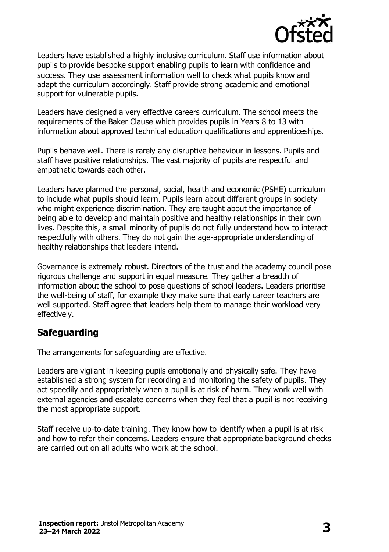

Leaders have established a highly inclusive curriculum. Staff use information about pupils to provide bespoke support enabling pupils to learn with confidence and success. They use assessment information well to check what pupils know and adapt the curriculum accordingly. Staff provide strong academic and emotional support for vulnerable pupils.

Leaders have designed a very effective careers curriculum. The school meets the requirements of the Baker Clause which provides pupils in Years 8 to 13 with information about approved technical education qualifications and apprenticeships.

Pupils behave well. There is rarely any disruptive behaviour in lessons. Pupils and staff have positive relationships. The vast majority of pupils are respectful and empathetic towards each other.

Leaders have planned the personal, social, health and economic (PSHE) curriculum to include what pupils should learn. Pupils learn about different groups in society who might experience discrimination. They are taught about the importance of being able to develop and maintain positive and healthy relationships in their own lives. Despite this, a small minority of pupils do not fully understand how to interact respectfully with others. They do not gain the age-appropriate understanding of healthy relationships that leaders intend.

Governance is extremely robust. Directors of the trust and the academy council pose rigorous challenge and support in equal measure. They gather a breadth of information about the school to pose questions of school leaders. Leaders prioritise the well-being of staff, for example they make sure that early career teachers are well supported. Staff agree that leaders help them to manage their workload very effectively.

## **Safeguarding**

The arrangements for safeguarding are effective.

Leaders are vigilant in keeping pupils emotionally and physically safe. They have established a strong system for recording and monitoring the safety of pupils. They act speedily and appropriately when a pupil is at risk of harm. They work well with external agencies and escalate concerns when they feel that a pupil is not receiving the most appropriate support.

Staff receive up-to-date training. They know how to identify when a pupil is at risk and how to refer their concerns. Leaders ensure that appropriate background checks are carried out on all adults who work at the school.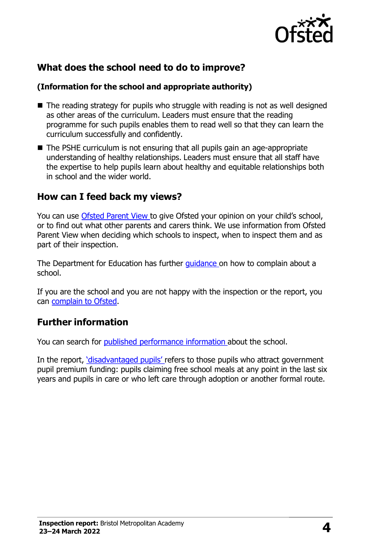

## **What does the school need to do to improve?**

#### **(Information for the school and appropriate authority)**

- $\blacksquare$  The reading strategy for pupils who struggle with reading is not as well designed as other areas of the curriculum. Leaders must ensure that the reading programme for such pupils enables them to read well so that they can learn the curriculum successfully and confidently.
- The PSHE curriculum is not ensuring that all pupils gain an age-appropriate understanding of healthy relationships. Leaders must ensure that all staff have the expertise to help pupils learn about healthy and equitable relationships both in school and the wider world.

#### **How can I feed back my views?**

You can use [Ofsted](http://parentview.ofsted.gov.uk/) Parent View to give Ofsted your opinion on your child's school, or to find out what other parents and carers think. We use information from Ofsted Parent View when deciding which schools to inspect, when to inspect them and as part of their inspection.

The Department for Education has further *[guidance](http://www.gov.uk/complain-about-school)* on how to complain about a school.

If you are the school and you are not happy with the inspection or the report, you can [complain](http://www.gov.uk/complain-ofsted-report) to Ofsted.

## **Further information**

You can search for published [performance](http://www.compare-school-performance.service.gov.uk/) information about the school.

In the report, ['disadvantaged](http://www.gov.uk/guidance/pupil-premium-information-for-schools-and-alternative-provision-settings) pupils' refers to those pupils who attract government pupil premium funding: pupils claiming free school meals at any point in the last six years and pupils in care or who left care through adoption or another formal route.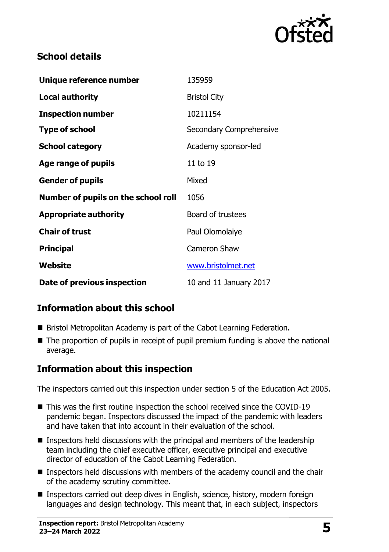

## **School details**

| Unique reference number             | 135959                   |
|-------------------------------------|--------------------------|
| <b>Local authority</b>              | <b>Bristol City</b>      |
| <b>Inspection number</b>            | 10211154                 |
| <b>Type of school</b>               | Secondary Comprehensive  |
| <b>School category</b>              | Academy sponsor-led      |
| Age range of pupils                 | 11 to 19                 |
| <b>Gender of pupils</b>             | Mixed                    |
| Number of pupils on the school roll | 1056                     |
| <b>Appropriate authority</b>        | <b>Board of trustees</b> |
| <b>Chair of trust</b>               | Paul Olomolaiye          |
| <b>Principal</b>                    | <b>Cameron Shaw</b>      |
| Website                             | www.bristolmet.net       |
| Date of previous inspection         | 10 and 11 January 2017   |

# **Information about this school**

- Bristol Metropolitan Academy is part of the Cabot Learning Federation.
- The proportion of pupils in receipt of pupil premium funding is above the national average.

# **Information about this inspection**

The inspectors carried out this inspection under section 5 of the Education Act 2005.

- This was the first routine inspection the school received since the COVID-19 pandemic began. Inspectors discussed the impact of the pandemic with leaders and have taken that into account in their evaluation of the school.
- **Inspectors held discussions with the principal and members of the leadership** team including the chief executive officer, executive principal and executive director of education of the Cabot Learning Federation.
- **Inspectors held discussions with members of the academy council and the chair** of the academy scrutiny committee.
- Inspectors carried out deep dives in English, science, history, modern foreign languages and design technology. This meant that, in each subject, inspectors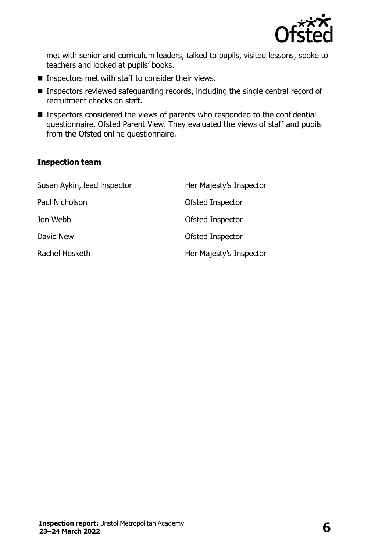

met with senior and curriculum leaders, talked to pupils, visited lessons, spoke to teachers and looked at pupils' books.

- $\blacksquare$  Inspectors met with staff to consider their views.
- **Inspectors reviewed safeguarding records, including the single central record of** recruitment checks on staff.
- **Inspectors considered the views of parents who responded to the confidential** questionnaire, Ofsted Parent View. They evaluated the views of staff and pupils from the Ofsted online questionnaire.

#### **Inspection team**

| Susan Aykin, lead inspector | Her Majesty's Inspector |
|-----------------------------|-------------------------|
| Paul Nicholson              | Ofsted Inspector        |
| Jon Webb                    | Ofsted Inspector        |
| David New                   | <b>Ofsted Inspector</b> |
| Rachel Hesketh              | Her Majesty's Inspector |